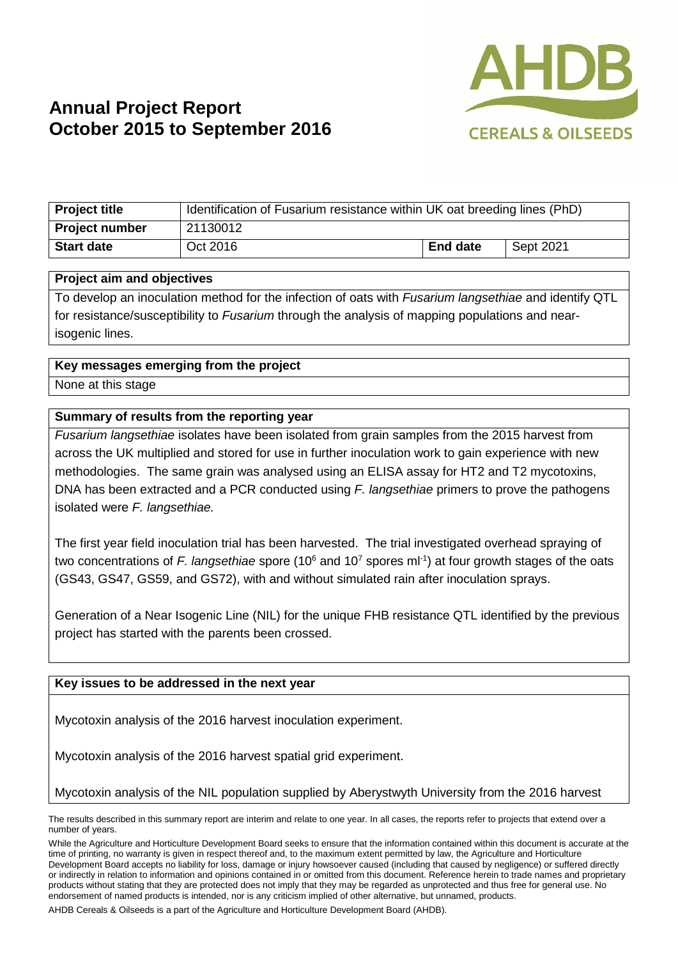

# **Annual Project Report October 2015 to September 2016**

| <b>Project title</b>  | Identification of Fusarium resistance within UK oat breeding lines (PhD) |                 |           |
|-----------------------|--------------------------------------------------------------------------|-----------------|-----------|
| <b>Project number</b> | 21130012                                                                 |                 |           |
| <b>Start date</b>     | Oct 2016                                                                 | <b>End date</b> | Sept 2021 |

#### **Project aim and objectives**

To develop an inoculation method for the infection of oats with *Fusarium langsethiae* and identify QTL for resistance/susceptibility to *Fusarium* through the analysis of mapping populations and nearisogenic lines.

### **Key messages emerging from the project**

None at this stage

### **Summary of results from the reporting year**

*Fusarium langsethiae* isolates have been isolated from grain samples from the 2015 harvest from across the UK multiplied and stored for use in further inoculation work to gain experience with new methodologies. The same grain was analysed using an ELISA assay for HT2 and T2 mycotoxins, DNA has been extracted and a PCR conducted using *F. langsethiae* primers to prove the pathogens isolated were *F. langsethiae.*

The first year field inoculation trial has been harvested. The trial investigated overhead spraying of two concentrations of F. langsethiae spore (10<sup>6</sup> and 10<sup>7</sup> spores ml<sup>-1</sup>) at four growth stages of the oats (GS43, GS47, GS59, and GS72), with and without simulated rain after inoculation sprays.

Generation of a Near Isogenic Line (NIL) for the unique FHB resistance QTL identified by the previous project has started with the parents been crossed.

### **Key issues to be addressed in the next year**

Mycotoxin analysis of the 2016 harvest inoculation experiment.

Mycotoxin analysis of the 2016 harvest spatial grid experiment.

Mycotoxin analysis of the NIL population supplied by Aberystwyth University from the 2016 harvest

AHDB Cereals & Oilseeds is a part of the Agriculture and Horticulture Development Board (AHDB).

The results described in this summary report are interim and relate to one year. In all cases, the reports refer to projects that extend over a number of years.

While the Agriculture and Horticulture Development Board seeks to ensure that the information contained within this document is accurate at the time of printing, no warranty is given in respect thereof and, to the maximum extent permitted by law, the Agriculture and Horticulture Development Board accepts no liability for loss, damage or injury howsoever caused (including that caused by negligence) or suffered directly or indirectly in relation to information and opinions contained in or omitted from this document. Reference herein to trade names and proprietary products without stating that they are protected does not imply that they may be regarded as unprotected and thus free for general use. No endorsement of named products is intended, nor is any criticism implied of other alternative, but unnamed, products.